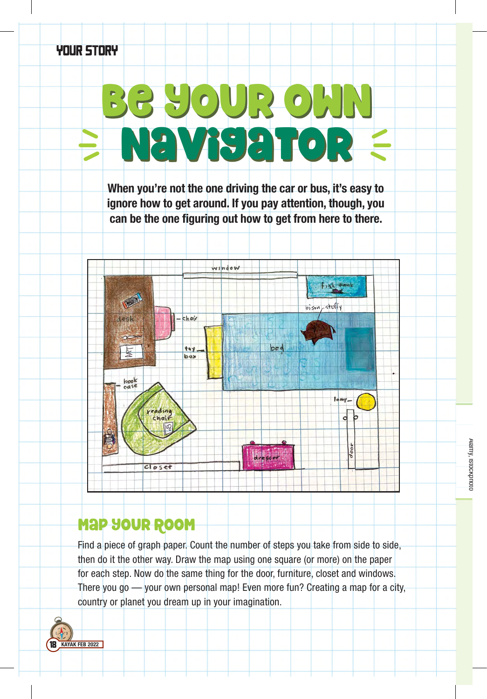## YOUR STORY

## Be your own navigator Be your own navigator

When you're not the one driving the car or bus, it's easy to ignore how to get around. If you pay attention, though, you can be the one figuring out how to get from here to there.



## Map Your Room

Find a piece of graph paper. Count the number of steps you take from side to side, then do it the other way. Draw the map using one square (or more) on the paper for each step. Now do the same thing for the door, furniture, closet and windows. There you go — your own personal map! Even more fun? Creating a map for a city, country or planet you dream up in your imagination.